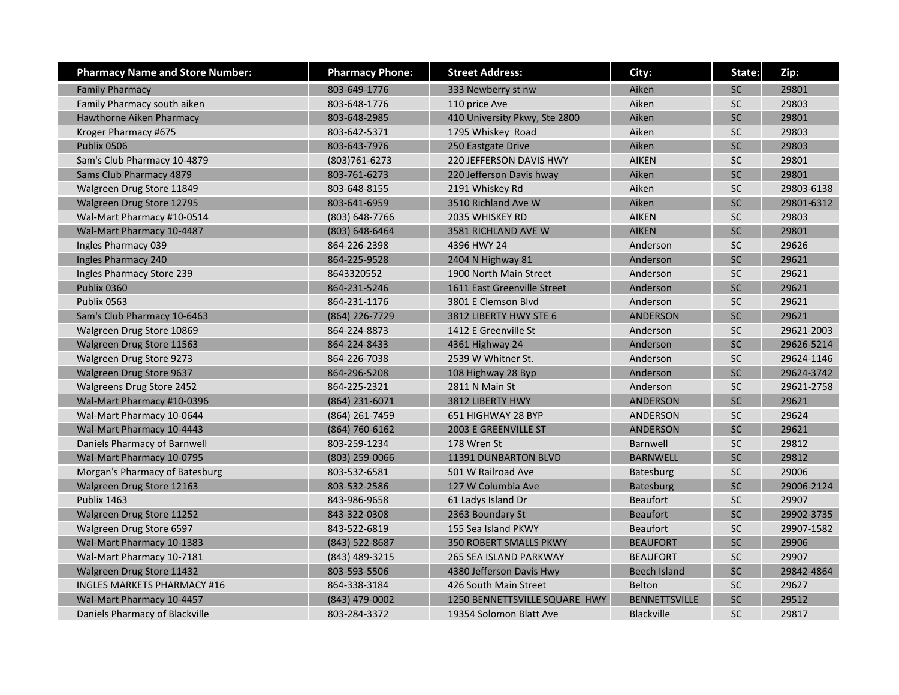| <b>Pharmacy Name and Store Number:</b> | <b>Pharmacy Phone:</b> | <b>Street Address:</b>         | City:                | State:    | Zip:       |
|----------------------------------------|------------------------|--------------------------------|----------------------|-----------|------------|
| <b>Family Pharmacy</b>                 | 803-649-1776           | 333 Newberry st nw             | Aiken                | SC        | 29801      |
| Family Pharmacy south aiken            | 803-648-1776           | 110 price Ave                  | Aiken                | SC        | 29803      |
| Hawthorne Aiken Pharmacy               | 803-648-2985           | 410 University Pkwy, Ste 2800  | Aiken                | <b>SC</b> | 29801      |
| Kroger Pharmacy #675                   | 803-642-5371           | 1795 Whiskey Road              | Aiken                | <b>SC</b> | 29803      |
| Publix 0506                            | 803-643-7976           | 250 Eastgate Drive             | Aiken                | SC        | 29803      |
| Sam's Club Pharmacy 10-4879            | $(803)761-6273$        | <b>220 JEFFERSON DAVIS HWY</b> | <b>AIKEN</b>         | <b>SC</b> | 29801      |
| Sams Club Pharmacy 4879                | 803-761-6273           | 220 Jefferson Davis hway       | Aiken                | SC        | 29801      |
| Walgreen Drug Store 11849              | 803-648-8155           | 2191 Whiskey Rd                | Aiken                | <b>SC</b> | 29803-6138 |
| Walgreen Drug Store 12795              | 803-641-6959           | 3510 Richland Ave W            | Aiken                | SC        | 29801-6312 |
| Wal-Mart Pharmacy #10-0514             | (803) 648-7766         | 2035 WHISKEY RD                | <b>AIKEN</b>         | SC        | 29803      |
| Wal-Mart Pharmacy 10-4487              | (803) 648-6464         | 3581 RICHLAND AVE W            | <b>AIKEN</b>         | SC        | 29801      |
| Ingles Pharmacy 039                    | 864-226-2398           | 4396 HWY 24                    | Anderson             | SC        | 29626      |
| Ingles Pharmacy 240                    | 864-225-9528           | 2404 N Highway 81              | Anderson             | SC        | 29621      |
| Ingles Pharmacy Store 239              | 8643320552             | 1900 North Main Street         | Anderson             | <b>SC</b> | 29621      |
| Publix 0360                            | 864-231-5246           | 1611 East Greenville Street    | Anderson             | SC        | 29621      |
| Publix 0563                            | 864-231-1176           | 3801 E Clemson Blvd            | Anderson             | <b>SC</b> | 29621      |
| Sam's Club Pharmacy 10-6463            | (864) 226-7729         | 3812 LIBERTY HWY STE 6         | <b>ANDERSON</b>      | SC        | 29621      |
| Walgreen Drug Store 10869              | 864-224-8873           | 1412 E Greenville St           | Anderson             | <b>SC</b> | 29621-2003 |
| Walgreen Drug Store 11563              | 864-224-8433           | 4361 Highway 24                | Anderson             | <b>SC</b> | 29626-5214 |
| Walgreen Drug Store 9273               | 864-226-7038           | 2539 W Whitner St.             | Anderson             | SC        | 29624-1146 |
| Walgreen Drug Store 9637               | 864-296-5208           | 108 Highway 28 Byp             | Anderson             | SC        | 29624-3742 |
| <b>Walgreens Drug Store 2452</b>       | 864-225-2321           | 2811 N Main St                 | Anderson             | SC        | 29621-2758 |
| Wal-Mart Pharmacy #10-0396             | (864) 231-6071         | 3812 LIBERTY HWY               | <b>ANDERSON</b>      | SC        | 29621      |
| Wal-Mart Pharmacy 10-0644              | (864) 261-7459         | 651 HIGHWAY 28 BYP             | <b>ANDERSON</b>      | SC        | 29624      |
| Wal-Mart Pharmacy 10-4443              | $(864) 760 - 6162$     | 2003 E GREENVILLE ST           | <b>ANDERSON</b>      | SC        | 29621      |
| Daniels Pharmacy of Barnwell           | 803-259-1234           | 178 Wren St                    | Barnwell             | <b>SC</b> | 29812      |
| Wal-Mart Pharmacy 10-0795              | (803) 259-0066         | <b>11391 DUNBARTON BLVD</b>    | <b>BARNWELL</b>      | SC        | 29812      |
| Morgan's Pharmacy of Batesburg         | 803-532-6581           | 501 W Railroad Ave             | <b>Batesburg</b>     | SC        | 29006      |
| Walgreen Drug Store 12163              | 803-532-2586           | 127 W Columbia Ave             | <b>Batesburg</b>     | SC        | 29006-2124 |
| Publix 1463                            | 843-986-9658           | 61 Ladys Island Dr             | <b>Beaufort</b>      | SC        | 29907      |
| Walgreen Drug Store 11252              | 843-322-0308           | 2363 Boundary St               | <b>Beaufort</b>      | SC        | 29902-3735 |
| Walgreen Drug Store 6597               | 843-522-6819           | 155 Sea Island PKWY            | <b>Beaufort</b>      | SC        | 29907-1582 |
| Wal-Mart Pharmacy 10-1383              | (843) 522-8687         | <b>350 ROBERT SMALLS PKWY</b>  | <b>BEAUFORT</b>      | SC        | 29906      |
| Wal-Mart Pharmacy 10-7181              | (843) 489-3215         | <b>265 SEA ISLAND PARKWAY</b>  | <b>BEAUFORT</b>      | SC        | 29907      |
| Walgreen Drug Store 11432              | 803-593-5506           | 4380 Jefferson Davis Hwy       | Beech Island         | SC        | 29842-4864 |
| <b>INGLES MARKETS PHARMACY #16</b>     | 864-338-3184           | 426 South Main Street          | <b>Belton</b>        | <b>SC</b> | 29627      |
| Wal-Mart Pharmacy 10-4457              | (843) 479-0002         | 1250 BENNETTSVILLE SQUARE HWY  | <b>BENNETTSVILLE</b> | <b>SC</b> | 29512      |
| Daniels Pharmacy of Blackville         | 803-284-3372           | 19354 Solomon Blatt Ave        | <b>Blackville</b>    | <b>SC</b> | 29817      |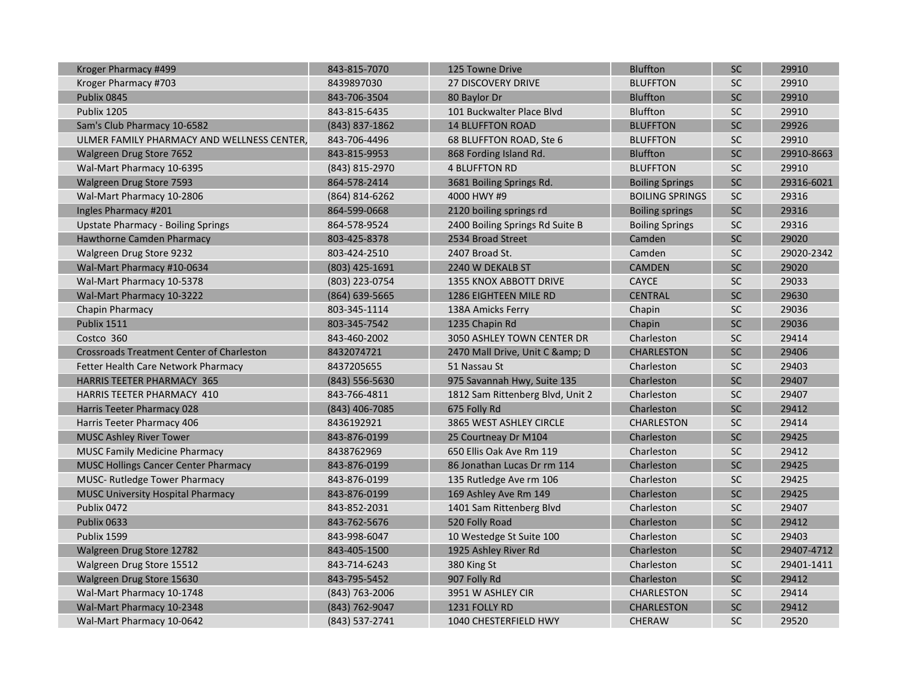| Kroger Pharmacy #499                             | 843-815-7070       | 125 Towne Drive                  | <b>Bluffton</b>        | <b>SC</b>     | 29910      |
|--------------------------------------------------|--------------------|----------------------------------|------------------------|---------------|------------|
| Kroger Pharmacy #703                             | 8439897030         | <b>27 DISCOVERY DRIVE</b>        | <b>BLUFFTON</b>        | <b>SC</b>     | 29910      |
| Publix 0845                                      | 843-706-3504       | 80 Baylor Dr                     | <b>Bluffton</b>        | <b>SC</b>     | 29910      |
| <b>Publix 1205</b>                               | 843-815-6435       | 101 Buckwalter Place Blvd        | <b>Bluffton</b>        | <b>SC</b>     | 29910      |
| Sam's Club Pharmacy 10-6582                      | (843) 837-1862     | <b>14 BLUFFTON ROAD</b>          | <b>BLUFFTON</b>        | SC            | 29926      |
| ULMER FAMILY PHARMACY AND WELLNESS CENTER,       | 843-706-4496       | 68 BLUFFTON ROAD, Ste 6          | <b>BLUFFTON</b>        | SC            | 29910      |
| Walgreen Drug Store 7652                         | 843-815-9953       | 868 Fording Island Rd.           | <b>Bluffton</b>        | SC            | 29910-8663 |
| Wal-Mart Pharmacy 10-6395                        | (843) 815-2970     | <b>4 BLUFFTON RD</b>             | <b>BLUFFTON</b>        | <b>SC</b>     | 29910      |
| Walgreen Drug Store 7593                         | 864-578-2414       | 3681 Boiling Springs Rd.         | <b>Boiling Springs</b> | SC            | 29316-6021 |
| Wal-Mart Pharmacy 10-2806                        | $(864) 814 - 6262$ | 4000 HWY #9                      | <b>BOILING SPRINGS</b> | <b>SC</b>     | 29316      |
| Ingles Pharmacy #201                             | 864-599-0668       | 2120 boiling springs rd          | <b>Boiling springs</b> | SC            | 29316      |
| <b>Upstate Pharmacy - Boiling Springs</b>        | 864-578-9524       | 2400 Boiling Springs Rd Suite B  | <b>Boiling Springs</b> | <b>SC</b>     | 29316      |
| Hawthorne Camden Pharmacy                        | 803-425-8378       | 2534 Broad Street                | Camden                 | SC            | 29020      |
| Walgreen Drug Store 9232                         | 803-424-2510       | 2407 Broad St.                   | Camden                 | SC            | 29020-2342 |
| Wal-Mart Pharmacy #10-0634                       | (803) 425-1691     | 2240 W DEKALB ST                 | <b>CAMDEN</b>          | SC            | 29020      |
| Wal-Mart Pharmacy 10-5378                        | (803) 223-0754     | <b>1355 KNOX ABBOTT DRIVE</b>    | <b>CAYCE</b>           | SC            | 29033      |
| Wal-Mart Pharmacy 10-3222                        | $(864) 639 - 5665$ | 1286 EIGHTEEN MILE RD            | <b>CENTRAL</b>         | SC            | 29630      |
| Chapin Pharmacy                                  | 803-345-1114       | 138A Amicks Ferry                | Chapin                 | SC            | 29036      |
| Publix 1511                                      | 803-345-7542       | 1235 Chapin Rd                   | Chapin                 | SC            | 29036      |
| Costco 360                                       | 843-460-2002       | 3050 ASHLEY TOWN CENTER DR       | Charleston             | <b>SC</b>     | 29414      |
| <b>Crossroads Treatment Center of Charleston</b> | 8432074721         | 2470 Mall Drive, Unit C & D      | <b>CHARLESTON</b>      | SC            | 29406      |
| Fetter Health Care Network Pharmacy              | 8437205655         | 51 Nassau St                     | Charleston             | <b>SC</b>     | 29403      |
| <b>HARRIS TEETER PHARMACY 365</b>                | (843) 556-5630     | 975 Savannah Hwy, Suite 135      | Charleston             | SC            | 29407      |
| <b>HARRIS TEETER PHARMACY 410</b>                | 843-766-4811       | 1812 Sam Rittenberg Blvd, Unit 2 | Charleston             | SC            | 29407      |
| Harris Teeter Pharmacy 028                       | (843) 406-7085     | 675 Folly Rd                     | Charleston             | SC            | 29412      |
| Harris Teeter Pharmacy 406                       | 8436192921         | 3865 WEST ASHLEY CIRCLE          | <b>CHARLESTON</b>      | <b>SC</b>     | 29414      |
| <b>MUSC Ashley River Tower</b>                   | 843-876-0199       | 25 Courtneay Dr M104             | Charleston             | SC            | 29425      |
| <b>MUSC Family Medicine Pharmacy</b>             | 8438762969         | 650 Ellis Oak Ave Rm 119         | Charleston             | <b>SC</b>     | 29412      |
| <b>MUSC Hollings Cancer Center Pharmacy</b>      | 843-876-0199       | 86 Jonathan Lucas Dr rm 114      | Charleston             | SC            | 29425      |
| MUSC- Rutledge Tower Pharmacy                    | 843-876-0199       | 135 Rutledge Ave rm 106          | Charleston             | SC            | 29425      |
| <b>MUSC University Hospital Pharmacy</b>         | 843-876-0199       | 169 Ashley Ave Rm 149            | Charleston             | SC            | 29425      |
| Publix 0472                                      | 843-852-2031       | 1401 Sam Rittenberg Blvd         | Charleston             | SC            | 29407      |
| Publix 0633                                      | 843-762-5676       | 520 Folly Road                   | Charleston             | SC            | 29412      |
| Publix 1599                                      | 843-998-6047       | 10 Westedge St Suite 100         | Charleston             | <b>SC</b>     | 29403      |
| Walgreen Drug Store 12782                        | 843-405-1500       | 1925 Ashley River Rd             | Charleston             | SC            | 29407-4712 |
| Walgreen Drug Store 15512                        | 843-714-6243       | 380 King St                      | Charleston             | <b>SC</b>     | 29401-1411 |
| Walgreen Drug Store 15630                        | 843-795-5452       | 907 Folly Rd                     | Charleston             | SC            | 29412      |
| Wal-Mart Pharmacy 10-1748                        | (843) 763-2006     | 3951 W ASHLEY CIR                | <b>CHARLESTON</b>      | <sub>SC</sub> | 29414      |
| Wal-Mart Pharmacy 10-2348                        | (843) 762-9047     | 1231 FOLLY RD                    | <b>CHARLESTON</b>      | SC            | 29412      |
| Wal-Mart Pharmacy 10-0642                        | (843) 537-2741     | 1040 CHESTERFIELD HWY            | <b>CHERAW</b>          | <b>SC</b>     | 29520      |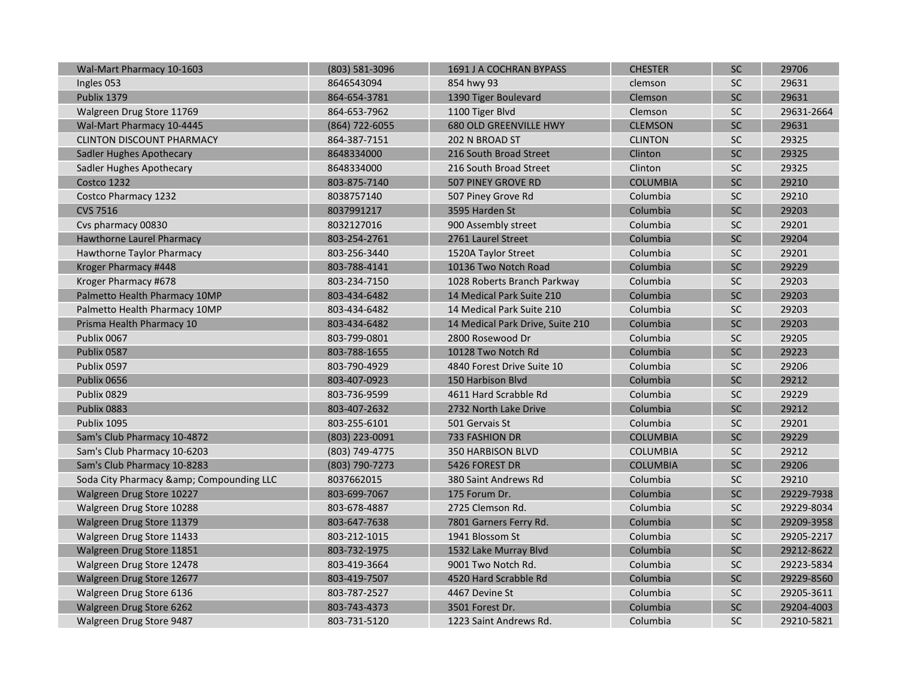| Wal-Mart Pharmacy 10-1603            | (803) 581-3096 | 1691 J A COCHRAN BYPASS          | <b>CHESTER</b>  | SC            | 29706      |
|--------------------------------------|----------------|----------------------------------|-----------------|---------------|------------|
| Ingles 053                           | 8646543094     | 854 hwy 93                       | clemson         | SC            | 29631      |
| Publix 1379                          | 864-654-3781   | 1390 Tiger Boulevard             | Clemson         | SC            | 29631      |
| Walgreen Drug Store 11769            | 864-653-7962   | 1100 Tiger Blvd                  | Clemson         | <b>SC</b>     | 29631-2664 |
| Wal-Mart Pharmacy 10-4445            | (864) 722-6055 | <b>680 OLD GREENVILLE HWY</b>    | <b>CLEMSON</b>  | SC            | 29631      |
| <b>CLINTON DISCOUNT PHARMACY</b>     | 864-387-7151   | 202 N BROAD ST                   | <b>CLINTON</b>  | SC            | 29325      |
| Sadler Hughes Apothecary             | 8648334000     | 216 South Broad Street           | Clinton         | SC            | 29325      |
| Sadler Hughes Apothecary             | 8648334000     | 216 South Broad Street           | Clinton         | SC            | 29325      |
| Costco 1232                          | 803-875-7140   | <b>507 PINEY GROVE RD</b>        | <b>COLUMBIA</b> | SC            | 29210      |
| Costco Pharmacy 1232                 | 8038757140     | 507 Piney Grove Rd               | Columbia        | SC            | 29210      |
| <b>CVS 7516</b>                      | 8037991217     | 3595 Harden St                   | Columbia        | SC            | 29203      |
| Cvs pharmacy 00830                   | 8032127016     | 900 Assembly street              | Columbia        | <b>SC</b>     | 29201      |
| Hawthorne Laurel Pharmacy            | 803-254-2761   | 2761 Laurel Street               | Columbia        | SC            | 29204      |
| Hawthorne Taylor Pharmacy            | 803-256-3440   | 1520A Taylor Street              | Columbia        | SC            | 29201      |
| Kroger Pharmacy #448                 | 803-788-4141   | 10136 Two Notch Road             | Columbia        | SC            | 29229      |
| Kroger Pharmacy #678                 | 803-234-7150   | 1028 Roberts Branch Parkway      | Columbia        | SC            | 29203      |
| Palmetto Health Pharmacy 10MP        | 803-434-6482   | 14 Medical Park Suite 210        | Columbia        | SC            | 29203      |
| Palmetto Health Pharmacy 10MP        | 803-434-6482   | 14 Medical Park Suite 210        | Columbia        | SC            | 29203      |
| Prisma Health Pharmacy 10            | 803-434-6482   | 14 Medical Park Drive, Suite 210 | Columbia        | SC            | 29203      |
| Publix 0067                          | 803-799-0801   | 2800 Rosewood Dr                 | Columbia        | SC            | 29205      |
| Publix 0587                          | 803-788-1655   | 10128 Two Notch Rd               | Columbia        | SC            | 29223      |
| Publix 0597                          | 803-790-4929   | 4840 Forest Drive Suite 10       | Columbia        | <b>SC</b>     | 29206      |
| Publix 0656                          | 803-407-0923   | 150 Harbison Blvd                | Columbia        | SC            | 29212      |
| Publix 0829                          | 803-736-9599   | 4611 Hard Scrabble Rd            | Columbia        | SC            | 29229      |
| Publix 0883                          | 803-407-2632   | 2732 North Lake Drive            | Columbia        | SC            | 29212      |
| Publix 1095                          | 803-255-6101   | 501 Gervais St                   | Columbia        | <b>SC</b>     | 29201      |
| Sam's Club Pharmacy 10-4872          | (803) 223-0091 | 733 FASHION DR                   | <b>COLUMBIA</b> | SC            | 29229      |
| Sam's Club Pharmacy 10-6203          | (803) 749-4775 | <b>350 HARBISON BLVD</b>         | <b>COLUMBIA</b> | SC            | 29212      |
| Sam's Club Pharmacy 10-8283          | (803) 790-7273 | 5426 FOREST DR                   | <b>COLUMBIA</b> | SC            | 29206      |
| Soda City Pharmacy & Compounding LLC | 8037662015     | 380 Saint Andrews Rd             | Columbia        | <b>SC</b>     | 29210      |
| Walgreen Drug Store 10227            | 803-699-7067   | 175 Forum Dr.                    | Columbia        | SC            | 29229-7938 |
| Walgreen Drug Store 10288            | 803-678-4887   | 2725 Clemson Rd.                 | Columbia        | SC            | 29229-8034 |
| Walgreen Drug Store 11379            | 803-647-7638   | 7801 Garners Ferry Rd.           | Columbia        | SC            | 29209-3958 |
| Walgreen Drug Store 11433            | 803-212-1015   | 1941 Blossom St                  | Columbia        | SC            | 29205-2217 |
| Walgreen Drug Store 11851            | 803-732-1975   | 1532 Lake Murray Blvd            | Columbia        | SC            | 29212-8622 |
| Walgreen Drug Store 12478            | 803-419-3664   | 9001 Two Notch Rd.               | Columbia        | SC            | 29223-5834 |
| Walgreen Drug Store 12677            | 803-419-7507   | 4520 Hard Scrabble Rd            | Columbia        | SC            | 29229-8560 |
| Walgreen Drug Store 6136             | 803-787-2527   | 4467 Devine St                   | Columbia        | <sub>SC</sub> | 29205-3611 |
| Walgreen Drug Store 6262             | 803-743-4373   | 3501 Forest Dr.                  | Columbia        | SC            | 29204-4003 |
| Walgreen Drug Store 9487             | 803-731-5120   | 1223 Saint Andrews Rd.           | Columbia        | SC            | 29210-5821 |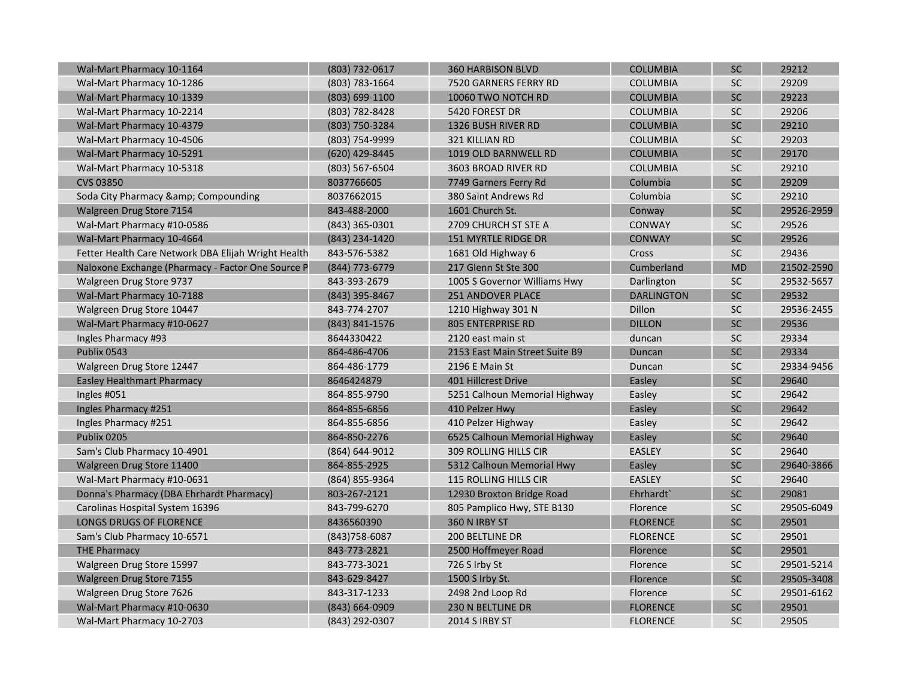| Wal-Mart Pharmacy 10-1164                           | (803) 732-0617 | <b>360 HARBISON BLVD</b>       | <b>COLUMBIA</b>       | <b>SC</b> | 29212      |
|-----------------------------------------------------|----------------|--------------------------------|-----------------------|-----------|------------|
| Wal-Mart Pharmacy 10-1286                           | (803) 783-1664 | 7520 GARNERS FERRY RD          | <b>COLUMBIA</b>       | <b>SC</b> | 29209      |
| Wal-Mart Pharmacy 10-1339                           | (803) 699-1100 | 10060 TWO NOTCH RD             | <b>COLUMBIA</b>       | <b>SC</b> | 29223      |
| Wal-Mart Pharmacy 10-2214                           | (803) 782-8428 | 5420 FOREST DR                 | <b>COLUMBIA</b>       | <b>SC</b> | 29206      |
| Wal-Mart Pharmacy 10-4379                           | (803) 750-3284 | 1326 BUSH RIVER RD             | <b>COLUMBIA</b>       | SC        | 29210      |
| Wal-Mart Pharmacy 10-4506                           | (803) 754-9999 | 321 KILLIAN RD                 | <b>COLUMBIA</b>       | <b>SC</b> | 29203      |
| Wal-Mart Pharmacy 10-5291                           | (620) 429-8445 | 1019 OLD BARNWELL RD           | <b>COLUMBIA</b>       | SC        | 29170      |
| Wal-Mart Pharmacy 10-5318                           | (803) 567-6504 | 3603 BROAD RIVER RD            | <b>COLUMBIA</b>       | <b>SC</b> | 29210      |
| <b>CVS 03850</b>                                    | 8037766605     | 7749 Garners Ferry Rd          | Columbia              | SC        | 29209      |
| Soda City Pharmacy & amp; Compounding               | 8037662015     | 380 Saint Andrews Rd           | Columbia              | SC        | 29210      |
| <b>Walgreen Drug Store 7154</b>                     | 843-488-2000   | 1601 Church St.                | Conway                | SC        | 29526-2959 |
| Wal-Mart Pharmacy #10-0586                          | (843) 365-0301 | 2709 CHURCH ST STE A           | <b>CONWAY</b>         | <b>SC</b> | 29526      |
| Wal-Mart Pharmacy 10-4664                           | (843) 234-1420 | <b>151 MYRTLE RIDGE DR</b>     | <b>CONWAY</b>         | SC        | 29526      |
| Fetter Health Care Network DBA Elijah Wright Health | 843-576-5382   | 1681 Old Highway 6             | Cross                 | SC        | 29436      |
| Naloxone Exchange (Pharmacy - Factor One Source P   | (844) 773-6779 | 217 Glenn St Ste 300           | Cumberland            | <b>MD</b> | 21502-2590 |
| Walgreen Drug Store 9737                            | 843-393-2679   | 1005 S Governor Williams Hwy   | Darlington            | SC        | 29532-5657 |
| Wal-Mart Pharmacy 10-7188                           | (843) 395-8467 | <b>251 ANDOVER PLACE</b>       | <b>DARLINGTON</b>     | SC        | 29532      |
| Walgreen Drug Store 10447                           | 843-774-2707   | 1210 Highway 301 N             | Dillon                | SC        | 29536-2455 |
| Wal-Mart Pharmacy #10-0627                          | (843) 841-1576 | <b>805 ENTERPRISE RD</b>       | <b>DILLON</b>         | SC        | 29536      |
| Ingles Pharmacy #93                                 | 8644330422     | 2120 east main st              | duncan                | SC        | 29334      |
| Publix 0543                                         | 864-486-4706   | 2153 East Main Street Suite B9 | Duncan                | SC        | 29334      |
| Walgreen Drug Store 12447                           | 864-486-1779   | 2196 E Main St                 | Duncan                | <b>SC</b> | 29334-9456 |
| <b>Easley Healthmart Pharmacy</b>                   | 8646424879     | 401 Hillcrest Drive            | Easley                | SC        | 29640      |
| Ingles #051                                         | 864-855-9790   | 5251 Calhoun Memorial Highway  | Easley                | SC        | 29642      |
| Ingles Pharmacy #251                                | 864-855-6856   | 410 Pelzer Hwy                 | Easley                | SC        | 29642      |
| Ingles Pharmacy #251                                | 864-855-6856   | 410 Pelzer Highway             | Easley                | <b>SC</b> | 29642      |
| Publix 0205                                         | 864-850-2276   | 6525 Calhoun Memorial Highway  | Easley                | <b>SC</b> | 29640      |
| Sam's Club Pharmacy 10-4901                         | (864) 644-9012 | <b>309 ROLLING HILLS CIR</b>   | <b>EASLEY</b>         | SC        | 29640      |
| Walgreen Drug Store 11400                           | 864-855-2925   | 5312 Calhoun Memorial Hwy      | Easley                | SC        | 29640-3866 |
| Wal-Mart Pharmacy #10-0631                          | (864) 855-9364 | 115 ROLLING HILLS CIR          | <b>EASLEY</b>         | <b>SC</b> | 29640      |
| Donna's Pharmacy (DBA Ehrhardt Pharmacy)            | 803-267-2121   | 12930 Broxton Bridge Road      | Ehrhardt <sup>'</sup> | SC        | 29081      |
| Carolinas Hospital System 16396                     | 843-799-6270   | 805 Pamplico Hwy, STE B130     | <b>Florence</b>       | SC        | 29505-6049 |
| LONGS DRUGS OF FLORENCE                             | 8436560390     | 360 N IRBY ST                  | <b>FLORENCE</b>       | SC        | 29501      |
| Sam's Club Pharmacy 10-6571                         | (843) 758-6087 | <b>200 BELTLINE DR</b>         | <b>FLORENCE</b>       | <b>SC</b> | 29501      |
| <b>THE Pharmacy</b>                                 | 843-773-2821   | 2500 Hoffmeyer Road            | Florence              | SC        | 29501      |
| Walgreen Drug Store 15997                           | 843-773-3021   | 726 S Irby St                  | Florence              | SC        | 29501-5214 |
| Walgreen Drug Store 7155                            | 843-629-8427   | 1500 S Irby St.                | Florence              | SC        | 29505-3408 |
| Walgreen Drug Store 7626                            | 843-317-1233   | 2498 2nd Loop Rd               | Florence              | <b>SC</b> | 29501-6162 |
| Wal-Mart Pharmacy #10-0630                          | (843) 664-0909 | 230 N BELTLINE DR              | <b>FLORENCE</b>       | SC        | 29501      |
| Wal-Mart Pharmacy 10-2703                           | (843) 292-0307 | <b>2014 S IRBY ST</b>          | <b>FLORENCE</b>       | <b>SC</b> | 29505      |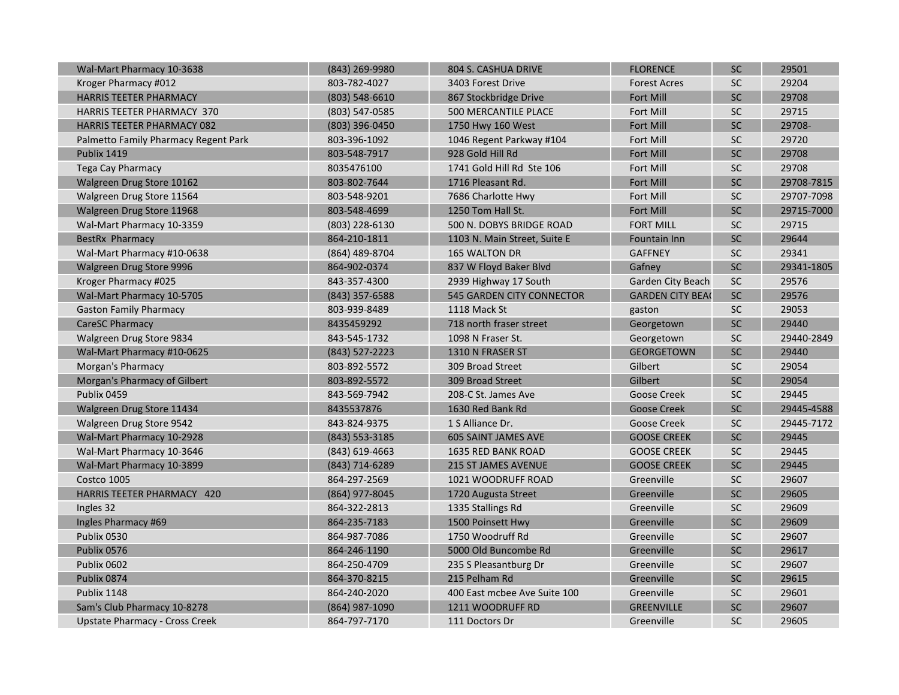| Wal-Mart Pharmacy 10-3638            | (843) 269-9980 | 804 S. CASHUA DRIVE              | <b>FLORENCE</b>         | <b>SC</b> | 29501      |
|--------------------------------------|----------------|----------------------------------|-------------------------|-----------|------------|
| Kroger Pharmacy #012                 | 803-782-4027   | 3403 Forest Drive                | <b>Forest Acres</b>     | SC        | 29204      |
| <b>HARRIS TEETER PHARMACY</b>        | (803) 548-6610 | 867 Stockbridge Drive            | Fort Mill               | <b>SC</b> | 29708      |
| <b>HARRIS TEETER PHARMACY 370</b>    | (803) 547-0585 | 500 MERCANTILE PLACE             | Fort Mill               | <b>SC</b> | 29715      |
| <b>HARRIS TEETER PHARMACY 082</b>    | (803) 396-0450 | 1750 Hwy 160 West                | Fort Mill               | SC        | 29708-     |
| Palmetto Family Pharmacy Regent Park | 803-396-1092   | 1046 Regent Parkway #104         | Fort Mill               | SC        | 29720      |
| Publix 1419                          | 803-548-7917   | 928 Gold Hill Rd                 | Fort Mill               | SC        | 29708      |
| Tega Cay Pharmacy                    | 8035476100     | 1741 Gold Hill Rd Ste 106        | Fort Mill               | SC        | 29708      |
| Walgreen Drug Store 10162            | 803-802-7644   | 1716 Pleasant Rd.                | Fort Mill               | SC        | 29708-7815 |
| Walgreen Drug Store 11564            | 803-548-9201   | 7686 Charlotte Hwy               | Fort Mill               | <b>SC</b> | 29707-7098 |
| Walgreen Drug Store 11968            | 803-548-4699   | 1250 Tom Hall St.                | <b>Fort Mill</b>        | <b>SC</b> | 29715-7000 |
| Wal-Mart Pharmacy 10-3359            | (803) 228-6130 | 500 N. DOBYS BRIDGE ROAD         | <b>FORT MILL</b>        | <b>SC</b> | 29715      |
| BestRx Pharmacy                      | 864-210-1811   | 1103 N. Main Street, Suite E     | Fountain Inn            | SC        | 29644      |
| Wal-Mart Pharmacy #10-0638           | (864) 489-8704 | <b>165 WALTON DR</b>             | <b>GAFFNEY</b>          | <b>SC</b> | 29341      |
| Walgreen Drug Store 9996             | 864-902-0374   | 837 W Floyd Baker Blvd           | Gafney                  | SC        | 29341-1805 |
| Kroger Pharmacy #025                 | 843-357-4300   | 2939 Highway 17 South            | Garden City Beach       | SC        | 29576      |
| Wal-Mart Pharmacy 10-5705            | (843) 357-6588 | <b>545 GARDEN CITY CONNECTOR</b> | <b>GARDEN CITY BEAC</b> | SC        | 29576      |
| <b>Gaston Family Pharmacy</b>        | 803-939-8489   | 1118 Mack St                     | gaston                  | <b>SC</b> | 29053      |
| <b>CareSC Pharmacy</b>               | 8435459292     | 718 north fraser street          | Georgetown              | SC        | 29440      |
| Walgreen Drug Store 9834             | 843-545-1732   | 1098 N Fraser St.                | Georgetown              | SC        | 29440-2849 |
| Wal-Mart Pharmacy #10-0625           | (843) 527-2223 | 1310 N FRASER ST                 | <b>GEORGETOWN</b>       | SC        | 29440      |
| Morgan's Pharmacy                    | 803-892-5572   | 309 Broad Street                 | Gilbert                 | <b>SC</b> | 29054      |
| Morgan's Pharmacy of Gilbert         | 803-892-5572   | 309 Broad Street                 | Gilbert                 | SC        | 29054      |
| Publix 0459                          | 843-569-7942   | 208-C St. James Ave              | Goose Creek             | <b>SC</b> | 29445      |
| Walgreen Drug Store 11434            | 8435537876     | 1630 Red Bank Rd                 | Goose Creek             | SC        | 29445-4588 |
| Walgreen Drug Store 9542             | 843-824-9375   | 1 S Alliance Dr.                 | <b>Goose Creek</b>      | <b>SC</b> | 29445-7172 |
| Wal-Mart Pharmacy 10-2928            | (843) 553-3185 | <b>605 SAINT JAMES AVE</b>       | <b>GOOSE CREEK</b>      | SC        | 29445      |
| Wal-Mart Pharmacy 10-3646            | (843) 619-4663 | 1635 RED BANK ROAD               | <b>GOOSE CREEK</b>      | <b>SC</b> | 29445      |
| Wal-Mart Pharmacy 10-3899            | (843) 714-6289 | <b>215 ST JAMES AVENUE</b>       | <b>GOOSE CREEK</b>      | SC        | 29445      |
| Costco 1005                          | 864-297-2569   | 1021 WOODRUFF ROAD               | Greenville              | <b>SC</b> | 29607      |
| HARRIS TEETER PHARMACY 420           | (864) 977-8045 | 1720 Augusta Street              | Greenville              | SC        | 29605      |
| Ingles 32                            | 864-322-2813   | 1335 Stallings Rd                | Greenville              | SC        | 29609      |
| Ingles Pharmacy #69                  | 864-235-7183   | 1500 Poinsett Hwy                | Greenville              | SC        | 29609      |
| Publix 0530                          | 864-987-7086   | 1750 Woodruff Rd                 | Greenville              | <b>SC</b> | 29607      |
| Publix 0576                          | 864-246-1190   | 5000 Old Buncombe Rd             | Greenville              | SC        | 29617      |
| Publix 0602                          | 864-250-4709   | 235 S Pleasantburg Dr            | Greenville              | SC        | 29607      |
| Publix 0874                          | 864-370-8215   | 215 Pelham Rd                    | Greenville              | SC        | 29615      |
| Publix 1148                          | 864-240-2020   | 400 East mcbee Ave Suite 100     | Greenville              | <b>SC</b> | 29601      |
| Sam's Club Pharmacy 10-8278          | (864) 987-1090 | 1211 WOODRUFF RD                 | <b>GREENVILLE</b>       | SC        | 29607      |
| Upstate Pharmacy - Cross Creek       | 864-797-7170   | 111 Doctors Dr                   | Greenville              | <b>SC</b> | 29605      |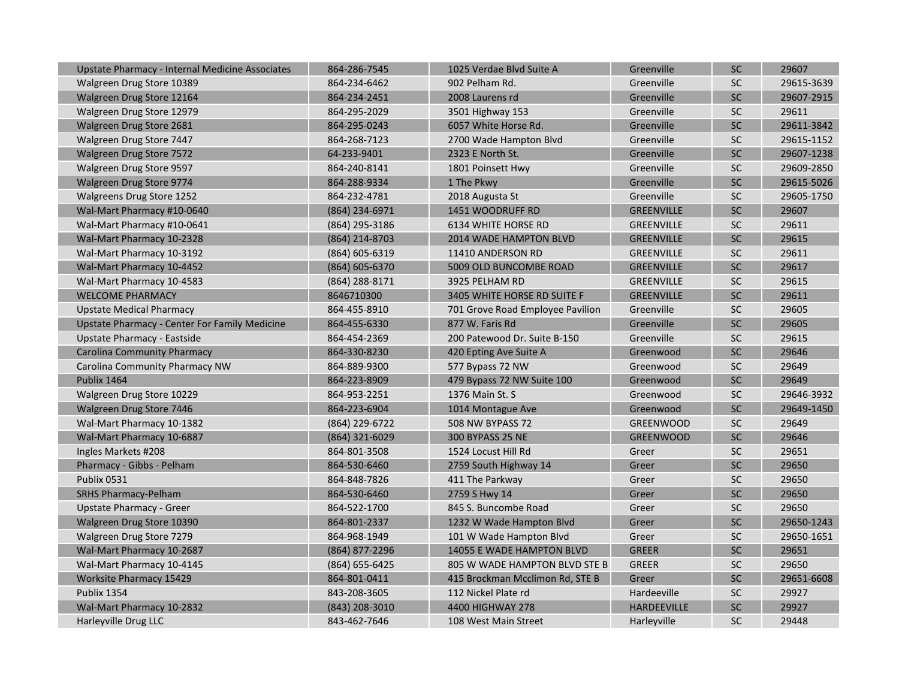| Upstate Pharmacy - Internal Medicine Associates | 864-286-7545     | 1025 Verdae Blvd Suite A         | Greenville         | <b>SC</b> | 29607      |
|-------------------------------------------------|------------------|----------------------------------|--------------------|-----------|------------|
| Walgreen Drug Store 10389                       | 864-234-6462     | 902 Pelham Rd.                   | Greenville         | <b>SC</b> | 29615-3639 |
| Walgreen Drug Store 12164                       | 864-234-2451     | 2008 Laurens rd                  | Greenville         | <b>SC</b> | 29607-2915 |
| Walgreen Drug Store 12979                       | 864-295-2029     | 3501 Highway 153                 | Greenville         | <b>SC</b> | 29611      |
| Walgreen Drug Store 2681                        | 864-295-0243     | 6057 White Horse Rd.             | Greenville         | SC        | 29611-3842 |
| Walgreen Drug Store 7447                        | 864-268-7123     | 2700 Wade Hampton Blvd           | Greenville         | <b>SC</b> | 29615-1152 |
| Walgreen Drug Store 7572                        | 64-233-9401      | 2323 E North St.                 | Greenville         | SC        | 29607-1238 |
| Walgreen Drug Store 9597                        | 864-240-8141     | 1801 Poinsett Hwy                | Greenville         | <b>SC</b> | 29609-2850 |
| Walgreen Drug Store 9774                        | 864-288-9334     | 1 The Pkwy                       | Greenville         | SC        | 29615-5026 |
| Walgreens Drug Store 1252                       | 864-232-4781     | 2018 Augusta St                  | Greenville         | SC        | 29605-1750 |
| Wal-Mart Pharmacy #10-0640                      | (864) 234-6971   | 1451 WOODRUFF RD                 | <b>GREENVILLE</b>  | SC        | 29607      |
| Wal-Mart Pharmacy #10-0641                      | (864) 295-3186   | 6134 WHITE HORSE RD              | <b>GREENVILLE</b>  | <b>SC</b> | 29611      |
| Wal-Mart Pharmacy 10-2328                       | (864) 214-8703   | 2014 WADE HAMPTON BLVD           | <b>GREENVILLE</b>  | SC        | 29615      |
| Wal-Mart Pharmacy 10-3192                       | $(864)$ 605-6319 | 11410 ANDERSON RD                | <b>GREENVILLE</b>  | <b>SC</b> | 29611      |
| Wal-Mart Pharmacy 10-4452                       | (864) 605-6370   | 5009 OLD BUNCOMBE ROAD           | <b>GREENVILLE</b>  | SC        | 29617      |
| Wal-Mart Pharmacy 10-4583                       | (864) 288-8171   | 3925 PELHAM RD                   | <b>GREENVILLE</b>  | SC        | 29615      |
| <b>WELCOME PHARMACY</b>                         | 8646710300       | 3405 WHITE HORSE RD SUITE F      | <b>GREENVILLE</b>  | SC        | 29611      |
| Upstate Medical Pharmacy                        | 864-455-8910     | 701 Grove Road Employee Pavilion | Greenville         | SC        | 29605      |
| Upstate Pharmacy - Center For Family Medicine   | 864-455-6330     | 877 W. Faris Rd                  | Greenville         | <b>SC</b> | 29605      |
| Upstate Pharmacy - Eastside                     | 864-454-2369     | 200 Patewood Dr. Suite B-150     | Greenville         | <b>SC</b> | 29615      |
| <b>Carolina Community Pharmacy</b>              | 864-330-8230     | 420 Epting Ave Suite A           | Greenwood          | SC        | 29646      |
| Carolina Community Pharmacy NW                  | 864-889-9300     | 577 Bypass 72 NW                 | Greenwood          | SC        | 29649      |
| Publix 1464                                     | 864-223-8909     | 479 Bypass 72 NW Suite 100       | Greenwood          | SC        | 29649      |
| Walgreen Drug Store 10229                       | 864-953-2251     | 1376 Main St. S                  | Greenwood          | <b>SC</b> | 29646-3932 |
| Walgreen Drug Store 7446                        | 864-223-6904     | 1014 Montague Ave                | Greenwood          | SC        | 29649-1450 |
| Wal-Mart Pharmacy 10-1382                       | $(864)$ 229-6722 | 508 NW BYPASS 72                 | <b>GREENWOOD</b>   | <b>SC</b> | 29649      |
| Wal-Mart Pharmacy 10-6887                       | (864) 321-6029   | 300 BYPASS 25 NE                 | <b>GREENWOOD</b>   | <b>SC</b> | 29646      |
| Ingles Markets #208                             | 864-801-3508     | 1524 Locust Hill Rd              | Greer              | <b>SC</b> | 29651      |
| Pharmacy - Gibbs - Pelham                       | 864-530-6460     | 2759 South Highway 14            | Greer              | SC        | 29650      |
| Publix 0531                                     | 864-848-7826     | 411 The Parkway                  | Greer              | <b>SC</b> | 29650      |
| <b>SRHS Pharmacy-Pelham</b>                     | 864-530-6460     | 2759 S Hwy 14                    | Greer              | SC        | 29650      |
| Upstate Pharmacy - Greer                        | 864-522-1700     | 845 S. Buncombe Road             | Greer              | <b>SC</b> | 29650      |
| Walgreen Drug Store 10390                       | 864-801-2337     | 1232 W Wade Hampton Blvd         | Greer              | SC        | 29650-1243 |
| Walgreen Drug Store 7279                        | 864-968-1949     | 101 W Wade Hampton Blvd          | Greer              | <b>SC</b> | 29650-1651 |
| Wal-Mart Pharmacy 10-2687                       | (864) 877-2296   | 14055 E WADE HAMPTON BLVD        | <b>GREER</b>       | SC        | 29651      |
| Wal-Mart Pharmacy 10-4145                       | (864) 655-6425   | 805 W WADE HAMPTON BLVD STE B    | <b>GREER</b>       | <b>SC</b> | 29650      |
| <b>Worksite Pharmacy 15429</b>                  | 864-801-0411     | 415 Brockman Mcclimon Rd, STE B  | Greer              | SC        | 29651-6608 |
| Publix 1354                                     | 843-208-3605     | 112 Nickel Plate rd              | Hardeeville        | <b>SC</b> | 29927      |
| Wal-Mart Pharmacy 10-2832                       | (843) 208-3010   | 4400 HIGHWAY 278                 | <b>HARDEEVILLE</b> | SC        | 29927      |
| Harleyville Drug LLC                            | 843-462-7646     | 108 West Main Street             | Harleyville        | <b>SC</b> | 29448      |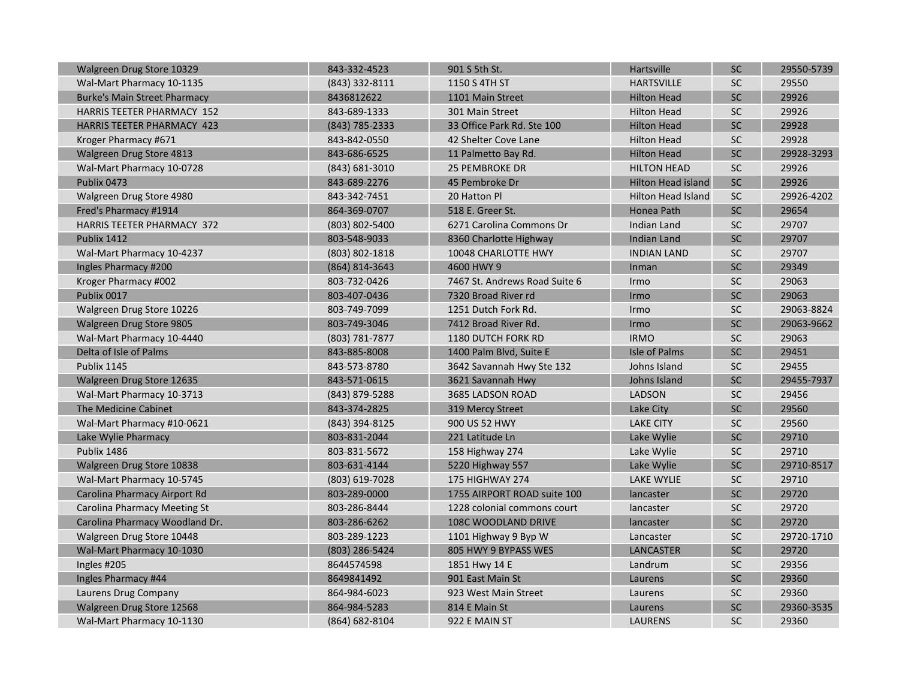| Walgreen Drug Store 10329           | 843-332-4523     | 901 S 5th St.                 | Hartsville         | <b>SC</b> | 29550-5739 |
|-------------------------------------|------------------|-------------------------------|--------------------|-----------|------------|
| Wal-Mart Pharmacy 10-1135           | (843) 332-8111   | 1150 S 4TH ST                 | <b>HARTSVILLE</b>  | <b>SC</b> | 29550      |
| <b>Burke's Main Street Pharmacy</b> | 8436812622       | 1101 Main Street              | <b>Hilton Head</b> | <b>SC</b> | 29926      |
| <b>HARRIS TEETER PHARMACY 152</b>   | 843-689-1333     | 301 Main Street               | <b>Hilton Head</b> | <b>SC</b> | 29926      |
| <b>HARRIS TEETER PHARMACY 423</b>   | (843) 785-2333   | 33 Office Park Rd. Ste 100    | <b>Hilton Head</b> | SC        | 29928      |
| Kroger Pharmacy #671                | 843-842-0550     | 42 Shelter Cove Lane          | Hilton Head        | <b>SC</b> | 29928      |
| Walgreen Drug Store 4813            | 843-686-6525     | 11 Palmetto Bay Rd.           | <b>Hilton Head</b> | <b>SC</b> | 29928-3293 |
| Wal-Mart Pharmacy 10-0728           | (843) 681-3010   | <b>25 PEMBROKE DR</b>         | <b>HILTON HEAD</b> | SC        | 29926      |
| Publix 0473                         | 843-689-2276     | 45 Pembroke Dr                | Hilton Head island | SC        | 29926      |
| Walgreen Drug Store 4980            | 843-342-7451     | 20 Hatton Pl                  | Hilton Head Island | SC        | 29926-4202 |
| Fred's Pharmacy #1914               | 864-369-0707     | 518 E. Greer St.              | Honea Path         | SC        | 29654      |
| <b>HARRIS TEETER PHARMACY 372</b>   | (803) 802-5400   | 6271 Carolina Commons Dr      | Indian Land        | SC        | 29707      |
| Publix 1412                         | 803-548-9033     | 8360 Charlotte Highway        | Indian Land        | SC        | 29707      |
| Wal-Mart Pharmacy 10-4237           | (803) 802-1818   | 10048 CHARLOTTE HWY           | <b>INDIAN LAND</b> | <b>SC</b> | 29707      |
| Ingles Pharmacy #200                | (864) 814-3643   | 4600 HWY 9                    | Inman              | SC        | 29349      |
| Kroger Pharmacy #002                | 803-732-0426     | 7467 St. Andrews Road Suite 6 | Irmo               | SC        | 29063      |
| Publix 0017                         | 803-407-0436     | 7320 Broad River rd           | Irmo               | SC        | 29063      |
| Walgreen Drug Store 10226           | 803-749-7099     | 1251 Dutch Fork Rd.           | Irmo               | SC        | 29063-8824 |
| Walgreen Drug Store 9805            | 803-749-3046     | 7412 Broad River Rd.          | Irmo               | SC        | 29063-9662 |
| Wal-Mart Pharmacy 10-4440           | (803) 781-7877   | <b>1180 DUTCH FORK RD</b>     | <b>IRMO</b>        | SC        | 29063      |
| Delta of Isle of Palms              | 843-885-8008     | 1400 Palm Blvd, Suite E       | Isle of Palms      | SC        | 29451      |
| Publix 1145                         | 843-573-8780     | 3642 Savannah Hwy Ste 132     | Johns Island       | SC        | 29455      |
| Walgreen Drug Store 12635           | 843-571-0615     | 3621 Savannah Hwy             | Johns Island       | SC        | 29455-7937 |
| Wal-Mart Pharmacy 10-3713           | (843) 879-5288   | 3685 LADSON ROAD              | LADSON             | <b>SC</b> | 29456      |
| The Medicine Cabinet                | 843-374-2825     | 319 Mercy Street              | Lake City          | SC        | 29560      |
| Wal-Mart Pharmacy #10-0621          | (843) 394-8125   | 900 US 52 HWY                 | <b>LAKE CITY</b>   | SC        | 29560      |
| Lake Wylie Pharmacy                 | 803-831-2044     | 221 Latitude Ln               | Lake Wylie         | <b>SC</b> | 29710      |
| Publix 1486                         | 803-831-5672     | 158 Highway 274               | Lake Wylie         | <b>SC</b> | 29710      |
| Walgreen Drug Store 10838           | 803-631-4144     | 5220 Highway 557              | Lake Wylie         | SC        | 29710-8517 |
| Wal-Mart Pharmacy 10-5745           | $(803)$ 619-7028 | <b>175 HIGHWAY 274</b>        | LAKE WYLIE         | <b>SC</b> | 29710      |
| Carolina Pharmacy Airport Rd        | 803-289-0000     | 1755 AIRPORT ROAD suite 100   | lancaster          | SC        | 29720      |
| <b>Carolina Pharmacy Meeting St</b> | 803-286-8444     | 1228 colonial commons court   | lancaster          | <b>SC</b> | 29720      |
| Carolina Pharmacy Woodland Dr.      | 803-286-6262     | <b>108C WOODLAND DRIVE</b>    | lancaster          | SC        | 29720      |
| Walgreen Drug Store 10448           | 803-289-1223     | 1101 Highway 9 Byp W          | Lancaster          | <b>SC</b> | 29720-1710 |
| Wal-Mart Pharmacy 10-1030           | (803) 286-5424   | 805 HWY 9 BYPASS WES          | LANCASTER          | SC        | 29720      |
| Ingles #205                         | 8644574598       | 1851 Hwy 14 E                 | Landrum            | SC        | 29356      |
| Ingles Pharmacy #44                 | 8649841492       | 901 East Main St              | Laurens            | SC        | 29360      |
| Laurens Drug Company                | 864-984-6023     | 923 West Main Street          | Laurens            | SC        | 29360      |
| Walgreen Drug Store 12568           | 864-984-5283     | 814 E Main St                 | Laurens            | SC        | 29360-3535 |
| Wal-Mart Pharmacy 10-1130           | (864) 682-8104   | 922 E MAIN ST                 | <b>LAURENS</b>     | <b>SC</b> | 29360      |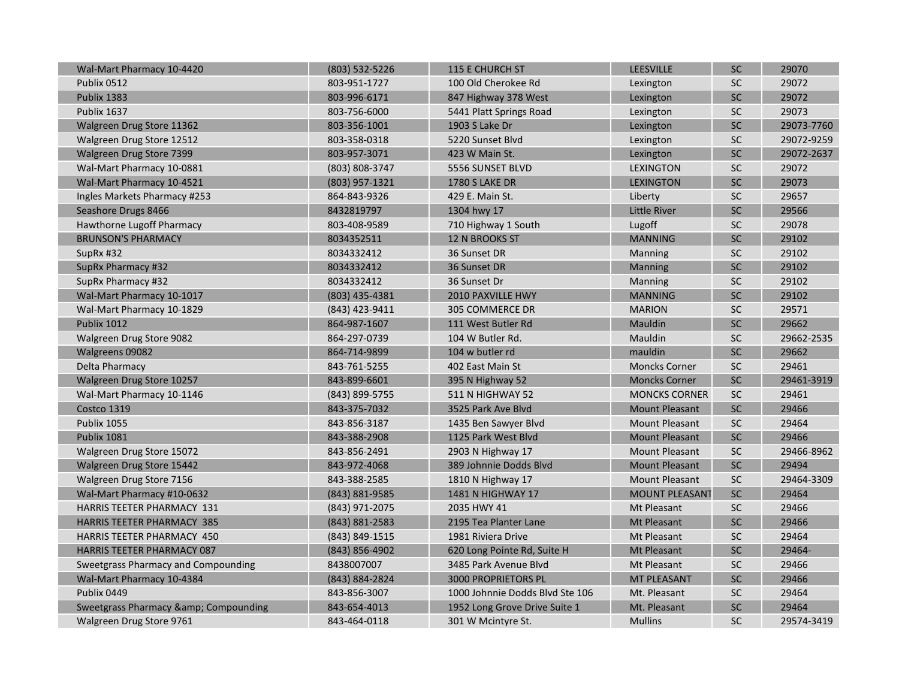| Wal-Mart Pharmacy 10-4420              | (803) 532-5226 | <b>115 E CHURCH ST</b>          | <b>LEESVILLE</b>      | <b>SC</b> | 29070      |
|----------------------------------------|----------------|---------------------------------|-----------------------|-----------|------------|
| Publix 0512                            | 803-951-1727   | 100 Old Cherokee Rd             | Lexington             | <b>SC</b> | 29072      |
| Publix 1383                            | 803-996-6171   | 847 Highway 378 West            | Lexington             | <b>SC</b> | 29072      |
| Publix 1637                            | 803-756-6000   | 5441 Platt Springs Road         | Lexington             | <b>SC</b> | 29073      |
| Walgreen Drug Store 11362              | 803-356-1001   | 1903 S Lake Dr                  | Lexington             | SC        | 29073-7760 |
| Walgreen Drug Store 12512              | 803-358-0318   | 5220 Sunset Blyd                | Lexington             | <b>SC</b> | 29072-9259 |
| Walgreen Drug Store 7399               | 803-957-3071   | 423 W Main St.                  | Lexington             | <b>SC</b> | 29072-2637 |
| Wal-Mart Pharmacy 10-0881              | (803) 808-3747 | 5556 SUNSET BLVD                | <b>LEXINGTON</b>      | <b>SC</b> | 29072      |
| Wal-Mart Pharmacy 10-4521              | (803) 957-1321 | <b>1780 S LAKE DR</b>           | <b>LEXINGTON</b>      | <b>SC</b> | 29073      |
| Ingles Markets Pharmacy #253           | 864-843-9326   | 429 E. Main St.                 | Liberty               | <b>SC</b> | 29657      |
| Seashore Drugs 8466                    | 8432819797     | 1304 hwy 17                     | <b>Little River</b>   | SC        | 29566      |
| Hawthorne Lugoff Pharmacy              | 803-408-9589   | 710 Highway 1 South             | Lugoff                | <b>SC</b> | 29078      |
| <b>BRUNSON'S PHARMACY</b>              | 8034352511     | <b>12 N BROOKS ST</b>           | <b>MANNING</b>        | SC        | 29102      |
| SupRx #32                              | 8034332412     | 36 Sunset DR                    | Manning               | SC        | 29102      |
| SupRx Pharmacy #32                     | 8034332412     | 36 Sunset DR                    | <b>Manning</b>        | SC        | 29102      |
| SupRx Pharmacy #32                     | 8034332412     | 36 Sunset Dr                    | Manning               | SC        | 29102      |
| Wal-Mart Pharmacy 10-1017              | (803) 435-4381 | 2010 PAXVILLE HWY               | <b>MANNING</b>        | SC        | 29102      |
| Wal-Mart Pharmacy 10-1829              | (843) 423-9411 | <b>305 COMMERCE DR</b>          | <b>MARION</b>         | SC        | 29571      |
| Publix 1012                            | 864-987-1607   | 111 West Butler Rd              | Mauldin               | SC        | 29662      |
| Walgreen Drug Store 9082               | 864-297-0739   | 104 W Butler Rd.                | Mauldin               | <b>SC</b> | 29662-2535 |
| Walgreens 09082                        | 864-714-9899   | 104 w butler rd                 | mauldin               | SC        | 29662      |
| Delta Pharmacy                         | 843-761-5255   | 402 East Main St                | <b>Moncks Corner</b>  | SC        | 29461      |
| Walgreen Drug Store 10257              | 843-899-6601   | 395 N Highway 52                | <b>Moncks Corner</b>  | SC        | 29461-3919 |
| Wal-Mart Pharmacy 10-1146              | (843) 899-5755 | <b>511 N HIGHWAY 52</b>         | <b>MONCKS CORNER</b>  | <b>SC</b> | 29461      |
| Costco 1319                            | 843-375-7032   | 3525 Park Ave Blvd              | <b>Mount Pleasant</b> | SC        | 29466      |
| <b>Publix 1055</b>                     | 843-856-3187   | 1435 Ben Sawyer Blyd            | Mount Pleasant        | <b>SC</b> | 29464      |
| <b>Publix 1081</b>                     | 843-388-2908   | 1125 Park West Blvd             | <b>Mount Pleasant</b> | <b>SC</b> | 29466      |
| Walgreen Drug Store 15072              | 843-856-2491   | 2903 N Highway 17               | <b>Mount Pleasant</b> | <b>SC</b> | 29466-8962 |
| Walgreen Drug Store 15442              | 843-972-4068   | 389 Johnnie Dodds Blvd          | <b>Mount Pleasant</b> | SC        | 29494      |
| Walgreen Drug Store 7156               | 843-388-2585   | 1810 N Highway 17               | <b>Mount Pleasant</b> | <b>SC</b> | 29464-3309 |
| Wal-Mart Pharmacy #10-0632             | (843) 881-9585 | <b>1481 N HIGHWAY 17</b>        | <b>MOUNT PLEASANT</b> | SC        | 29464      |
| <b>HARRIS TEETER PHARMACY 131</b>      | (843) 971-2075 | 2035 HWY 41                     | Mt Pleasant           | SC        | 29466      |
| <b>HARRIS TEETER PHARMACY 385</b>      | (843) 881-2583 | 2195 Tea Planter Lane           | Mt Pleasant           | SC        | 29466      |
| <b>HARRIS TEETER PHARMACY 450</b>      | (843) 849-1515 | 1981 Riviera Drive              | Mt Pleasant           | <b>SC</b> | 29464      |
| <b>HARRIS TEETER PHARMACY 087</b>      | (843) 856-4902 | 620 Long Pointe Rd, Suite H     | Mt Pleasant           | SC        | 29464-     |
| Sweetgrass Pharmacy and Compounding    | 8438007007     | 3485 Park Avenue Blvd           | Mt Pleasant           | <b>SC</b> | 29466      |
| Wal-Mart Pharmacy 10-4384              | (843) 884-2824 | <b>3000 PROPRIETORS PL</b>      | <b>MT PLEASANT</b>    | SC        | 29466      |
| Publix 0449                            | 843-856-3007   | 1000 Johnnie Dodds Blyd Ste 106 | Mt. Pleasant          | <b>SC</b> | 29464      |
| Sweetgrass Pharmacy & amp; Compounding | 843-654-4013   | 1952 Long Grove Drive Suite 1   | Mt. Pleasant          | SC        | 29464      |
| Walgreen Drug Store 9761               | 843-464-0118   | 301 W Mcintyre St.              | <b>Mullins</b>        | <b>SC</b> | 29574-3419 |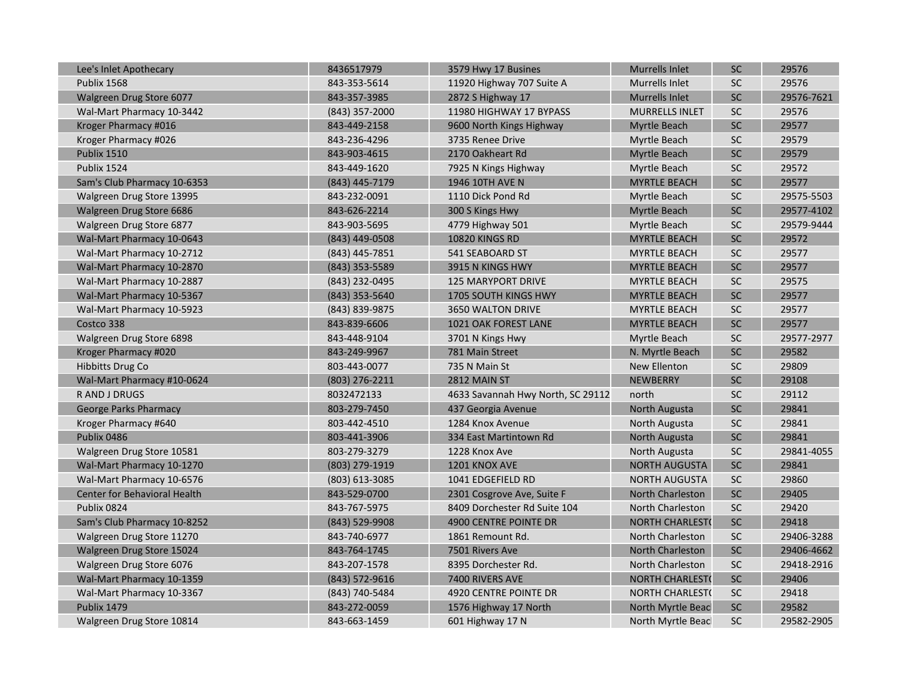| Lee's Inlet Apothecary              | 8436517979     | 3579 Hwy 17 Busines               | Murrells Inlet         | <b>SC</b> | 29576      |
|-------------------------------------|----------------|-----------------------------------|------------------------|-----------|------------|
| Publix 1568                         | 843-353-5614   | 11920 Highway 707 Suite A         | Murrells Inlet         | <b>SC</b> | 29576      |
| Walgreen Drug Store 6077            | 843-357-3985   | 2872 S Highway 17                 | <b>Murrells Inlet</b>  | <b>SC</b> | 29576-7621 |
| Wal-Mart Pharmacy 10-3442           | (843) 357-2000 | 11980 HIGHWAY 17 BYPASS           | <b>MURRELLS INLET</b>  | <b>SC</b> | 29576      |
| Kroger Pharmacy #016                | 843-449-2158   | 9600 North Kings Highway          | Myrtle Beach           | SC        | 29577      |
| Kroger Pharmacy #026                | 843-236-4296   | 3735 Renee Drive                  | Myrtle Beach           | SC        | 29579      |
| Publix 1510                         | 843-903-4615   | 2170 Oakheart Rd                  | <b>Myrtle Beach</b>    | SC        | 29579      |
| Publix 1524                         | 843-449-1620   | 7925 N Kings Highway              | Myrtle Beach           | <b>SC</b> | 29572      |
| Sam's Club Pharmacy 10-6353         | (843) 445-7179 | 1946 10TH AVE N                   | <b>MYRTLE BEACH</b>    | SC        | 29577      |
| Walgreen Drug Store 13995           | 843-232-0091   | 1110 Dick Pond Rd                 | Myrtle Beach           | SC        | 29575-5503 |
| Walgreen Drug Store 6686            | 843-626-2214   | 300 S Kings Hwy                   | <b>Myrtle Beach</b>    | SC        | 29577-4102 |
| Walgreen Drug Store 6877            | 843-903-5695   | 4779 Highway 501                  | Myrtle Beach           | <b>SC</b> | 29579-9444 |
| Wal-Mart Pharmacy 10-0643           | (843) 449-0508 | 10820 KINGS RD                    | <b>MYRTLE BEACH</b>    | SC        | 29572      |
| Wal-Mart Pharmacy 10-2712           | (843) 445-7851 | 541 SEABOARD ST                   | <b>MYRTLE BEACH</b>    | SC        | 29577      |
| Wal-Mart Pharmacy 10-2870           | (843) 353-5589 | 3915 N KINGS HWY                  | <b>MYRTLE BEACH</b>    | SC        | 29577      |
| Wal-Mart Pharmacy 10-2887           | (843) 232-0495 | <b>125 MARYPORT DRIVE</b>         | <b>MYRTLE BEACH</b>    | SC        | 29575      |
| Wal-Mart Pharmacy 10-5367           | (843) 353-5640 | <b>1705 SOUTH KINGS HWY</b>       | <b>MYRTLE BEACH</b>    | SC        | 29577      |
| Wal-Mart Pharmacy 10-5923           | (843) 839-9875 | 3650 WALTON DRIVE                 | <b>MYRTLE BEACH</b>    | <b>SC</b> | 29577      |
| Costco 338                          | 843-839-6606   | 1021 OAK FOREST LANE              | <b>MYRTLE BEACH</b>    | SC        | 29577      |
| Walgreen Drug Store 6898            | 843-448-9104   | 3701 N Kings Hwy                  | Myrtle Beach           | <b>SC</b> | 29577-2977 |
| Kroger Pharmacy #020                | 843-249-9967   | 781 Main Street                   | N. Myrtle Beach        | SC        | 29582      |
| Hibbitts Drug Co                    | 803-443-0077   | 735 N Main St                     | <b>New Ellenton</b>    | <b>SC</b> | 29809      |
| Wal-Mart Pharmacy #10-0624          | (803) 276-2211 | 2812 MAIN ST                      | <b>NEWBERRY</b>        | SC        | 29108      |
| <b>RANDJDRUGS</b>                   | 8032472133     | 4633 Savannah Hwy North, SC 29112 | north                  | SC        | 29112      |
| <b>George Parks Pharmacy</b>        | 803-279-7450   | 437 Georgia Avenue                | North Augusta          | SC        | 29841      |
| Kroger Pharmacy #640                | 803-442-4510   | 1284 Knox Avenue                  | North Augusta          | <b>SC</b> | 29841      |
| Publix 0486                         | 803-441-3906   | 334 East Martintown Rd            | North Augusta          | SC        | 29841      |
| Walgreen Drug Store 10581           | 803-279-3279   | 1228 Knox Ave                     | North Augusta          | SC        | 29841-4055 |
| Wal-Mart Pharmacy 10-1270           | (803) 279-1919 | 1201 KNOX AVE                     | <b>NORTH AUGUSTA</b>   | SC        | 29841      |
| Wal-Mart Pharmacy 10-6576           | (803) 613-3085 | 1041 EDGEFIELD RD                 | <b>NORTH AUGUSTA</b>   | <b>SC</b> | 29860      |
| <b>Center for Behavioral Health</b> | 843-529-0700   | 2301 Cosgrove Ave, Suite F        | North Charleston       | SC        | 29405      |
| Publix 0824                         | 843-767-5975   | 8409 Dorchester Rd Suite 104      | North Charleston       | SC        | 29420      |
| Sam's Club Pharmacy 10-8252         | (843) 529-9908 | <b>4900 CENTRE POINTE DR</b>      | <b>NORTH CHARLEST(</b> | SC        | 29418      |
| Walgreen Drug Store 11270           | 843-740-6977   | 1861 Remount Rd.                  | North Charleston       | SC        | 29406-3288 |
| Walgreen Drug Store 15024           | 843-764-1745   | 7501 Rivers Ave                   | North Charleston       | SC        | 29406-4662 |
| Walgreen Drug Store 6076            | 843-207-1578   | 8395 Dorchester Rd.               | North Charleston       | SC        | 29418-2916 |
| Wal-Mart Pharmacy 10-1359           | (843) 572-9616 | 7400 RIVERS AVE                   | <b>NORTH CHARLEST(</b> | SC        | 29406      |
| Wal-Mart Pharmacy 10-3367           | (843) 740-5484 | 4920 CENTRE POINTE DR             | <b>NORTH CHARLEST(</b> | SC        | 29418      |
| Publix 1479                         | 843-272-0059   | 1576 Highway 17 North             | North Myrtle Beacl     | SC        | 29582      |
| Walgreen Drug Store 10814           | 843-663-1459   | 601 Highway 17 N                  | North Myrtle Beacl     | <b>SC</b> | 29582-2905 |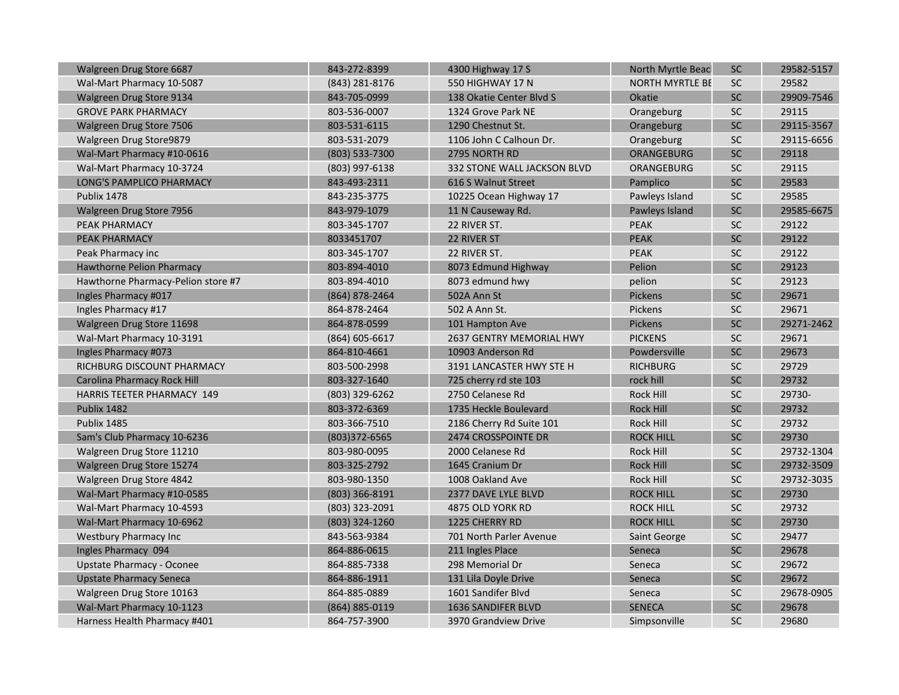| Walgreen Drug Store 6687           | 843-272-8399     | 4300 Highway 17 S               | North Myrtle Beacl     | SC        | 29582-5157 |
|------------------------------------|------------------|---------------------------------|------------------------|-----------|------------|
| Wal-Mart Pharmacy 10-5087          | $(843)$ 281-8176 | 550 HIGHWAY 17 N                | <b>NORTH MYRTLE BE</b> | <b>SC</b> | 29582      |
| Walgreen Drug Store 9134           | 843-705-0999     | 138 Okatie Center Blvd S        | Okatie                 | <b>SC</b> | 29909-7546 |
| <b>GROVE PARK PHARMACY</b>         | 803-536-0007     | 1324 Grove Park NE              | Orangeburg             | $\sf SC$  | 29115      |
| Walgreen Drug Store 7506           | 803-531-6115     | 1290 Chestnut St.               | Orangeburg             | SC        | 29115-3567 |
| Walgreen Drug Store9879            | 803-531-2079     | 1106 John C Calhoun Dr.         | Orangeburg             | <b>SC</b> | 29115-6656 |
| Wal-Mart Pharmacy #10-0616         | (803) 533-7300   | 2795 NORTH RD                   | <b>ORANGEBURG</b>      | SC        | 29118      |
| Wal-Mart Pharmacy 10-3724          | (803) 997-6138   | 332 STONE WALL JACKSON BLVD     | ORANGEBURG             | SC        | 29115      |
| LONG'S PAMPLICO PHARMACY           | 843-493-2311     | 616 S Walnut Street             | Pamplico               | SC        | 29583      |
| Publix 1478                        | 843-235-3775     | 10225 Ocean Highway 17          | Pawleys Island         | SC        | 29585      |
| Walgreen Drug Store 7956           | 843-979-1079     | 11 N Causeway Rd.               | Pawleys Island         | SC        | 29585-6675 |
| <b>PEAK PHARMACY</b>               | 803-345-1707     | 22 RIVER ST.                    | <b>PEAK</b>            | <b>SC</b> | 29122      |
| <b>PEAK PHARMACY</b>               | 8033451707       | 22 RIVER ST                     | <b>PEAK</b>            | SC        | 29122      |
| Peak Pharmacy inc                  | 803-345-1707     | 22 RIVER ST.                    | <b>PEAK</b>            | SC        | 29122      |
| <b>Hawthorne Pelion Pharmacy</b>   | 803-894-4010     | 8073 Edmund Highway             | Pelion                 | SC        | 29123      |
| Hawthorne Pharmacy-Pelion store #7 | 803-894-4010     | 8073 edmund hwy                 | pelion                 | SC        | 29123      |
| Ingles Pharmacy #017               | (864) 878-2464   | 502A Ann St                     | Pickens                | SC        | 29671      |
| Ingles Pharmacy #17                | 864-878-2464     | 502 A Ann St.                   | Pickens                | SC        | 29671      |
| Walgreen Drug Store 11698          | 864-878-0599     | 101 Hampton Ave                 | <b>Pickens</b>         | SC        | 29271-2462 |
| Wal-Mart Pharmacy 10-3191          | $(864)$ 605-6617 | <b>2637 GENTRY MEMORIAL HWY</b> | <b>PICKENS</b>         | <b>SC</b> | 29671      |
| Ingles Pharmacy #073               | 864-810-4661     | 10903 Anderson Rd               | Powdersville           | SC        | 29673      |
| RICHBURG DISCOUNT PHARMACY         | 803-500-2998     | 3191 LANCASTER HWY STE H        | <b>RICHBURG</b>        | <b>SC</b> | 29729      |
| Carolina Pharmacy Rock Hill        | 803-327-1640     | 725 cherry rd ste 103           | rock hill              | SC        | 29732      |
| <b>HARRIS TEETER PHARMACY 149</b>  | $(803)$ 329-6262 | 2750 Celanese Rd                | Rock Hill              | SC        | 29730-     |
| Publix 1482                        | 803-372-6369     | 1735 Heckle Boulevard           | <b>Rock Hill</b>       | SC        | 29732      |
| Publix 1485                        | 803-366-7510     | 2186 Cherry Rd Suite 101        | Rock Hill              | <b>SC</b> | 29732      |
| Sam's Club Pharmacy 10-6236        | (803)372-6565    | <b>2474 CROSSPOINTE DR</b>      | <b>ROCK HILL</b>       | <b>SC</b> | 29730      |
| Walgreen Drug Store 11210          | 803-980-0095     | 2000 Celanese Rd                | Rock Hill              | SC        | 29732-1304 |
| Walgreen Drug Store 15274          | 803-325-2792     | 1645 Cranium Dr                 | <b>Rock Hill</b>       | SC        | 29732-3509 |
| Walgreen Drug Store 4842           | 803-980-1350     | 1008 Oakland Ave                | Rock Hill              | <b>SC</b> | 29732-3035 |
| Wal-Mart Pharmacy #10-0585         | (803) 366-8191   | 2377 DAVE LYLE BLVD             | <b>ROCK HILL</b>       | SC        | 29730      |
| Wal-Mart Pharmacy 10-4593          | (803) 323-2091   | 4875 OLD YORK RD                | <b>ROCK HILL</b>       | SC        | 29732      |
| Wal-Mart Pharmacy 10-6962          | (803) 324-1260   | 1225 CHERRY RD                  | <b>ROCK HILL</b>       | SC        | 29730      |
| Westbury Pharmacy Inc              | 843-563-9384     | 701 North Parler Avenue         | Saint George           | SC        | 29477      |
| Ingles Pharmacy 094                | 864-886-0615     | 211 Ingles Place                | Seneca                 | SC        | 29678      |
| Upstate Pharmacy - Oconee          | 864-885-7338     | 298 Memorial Dr                 | Seneca                 | SC        | 29672      |
| <b>Upstate Pharmacy Seneca</b>     | 864-886-1911     | 131 Lila Doyle Drive            | Seneca                 | SC        | 29672      |
| Walgreen Drug Store 10163          | 864-885-0889     | 1601 Sandifer Blyd              | Seneca                 | <b>SC</b> | 29678-0905 |
| Wal-Mart Pharmacy 10-1123          | (864) 885-0119   | <b>1636 SANDIFER BLVD</b>       | <b>SENECA</b>          | SC        | 29678      |
| Harness Health Pharmacy #401       | 864-757-3900     | 3970 Grandview Drive            | Simpsonville           | <b>SC</b> | 29680      |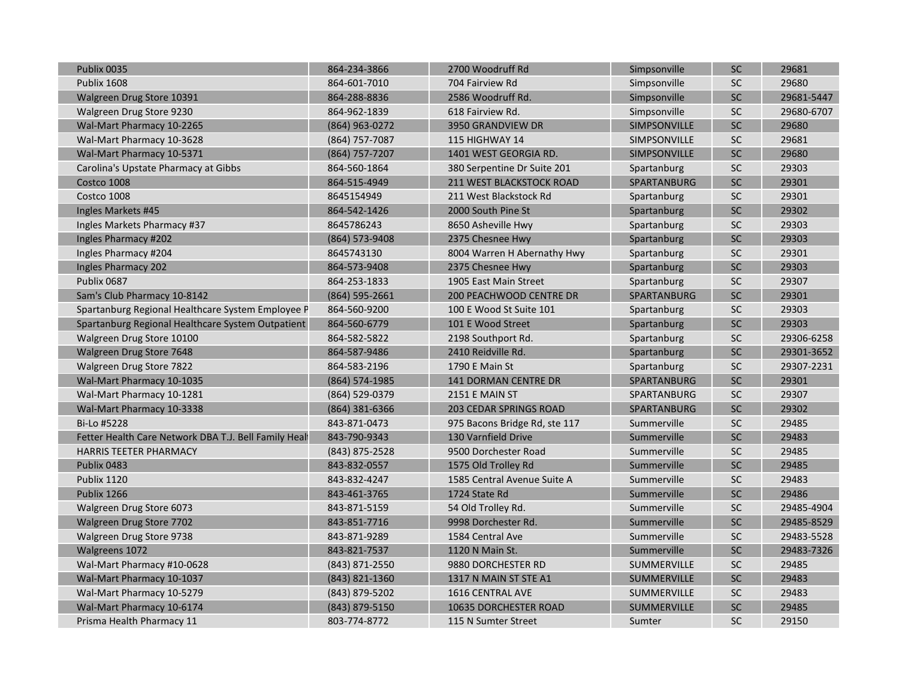| Publix 0035                                           | 864-234-3866     | 2700 Woodruff Rd                | Simpsonville        | SC        | 29681      |
|-------------------------------------------------------|------------------|---------------------------------|---------------------|-----------|------------|
| Publix 1608                                           | 864-601-7010     | 704 Fairview Rd                 | Simpsonville        | SC        | 29680      |
| Walgreen Drug Store 10391                             | 864-288-8836     | 2586 Woodruff Rd.               | Simpsonville        | SC        | 29681-5447 |
| Walgreen Drug Store 9230                              | 864-962-1839     | 618 Fairview Rd.                | Simpsonville        | <b>SC</b> | 29680-6707 |
| Wal-Mart Pharmacy 10-2265                             | (864) 963-0272   | 3950 GRANDVIEW DR               | SIMPSONVILLE        | SC        | 29680      |
| Wal-Mart Pharmacy 10-3628                             | (864) 757-7087   | 115 HIGHWAY 14                  | SIMPSONVILLE        | SC        | 29681      |
| Wal-Mart Pharmacy 10-5371                             | (864) 757-7207   | 1401 WEST GEORGIA RD.           | <b>SIMPSONVILLE</b> | SC        | 29680      |
| Carolina's Upstate Pharmacy at Gibbs                  | 864-560-1864     | 380 Serpentine Dr Suite 201     | Spartanburg         | SC        | 29303      |
| Costco 1008                                           | 864-515-4949     | <b>211 WEST BLACKSTOCK ROAD</b> | <b>SPARTANBURG</b>  | SC        | 29301      |
| Costco 1008                                           | 8645154949       | 211 West Blackstock Rd          | Spartanburg         | SC        | 29301      |
| Ingles Markets #45                                    | 864-542-1426     | 2000 South Pine St              | Spartanburg         | SC        | 29302      |
| Ingles Markets Pharmacy #37                           | 8645786243       | 8650 Asheville Hwy              | Spartanburg         | <b>SC</b> | 29303      |
| Ingles Pharmacy #202                                  | (864) 573-9408   | 2375 Chesnee Hwy                | Spartanburg         | SC        | 29303      |
| Ingles Pharmacy #204                                  | 8645743130       | 8004 Warren H Abernathy Hwy     | Spartanburg         | <b>SC</b> | 29301      |
| Ingles Pharmacy 202                                   | 864-573-9408     | 2375 Chesnee Hwy                | Spartanburg         | SC        | 29303      |
| Publix 0687                                           | 864-253-1833     | 1905 East Main Street           | Spartanburg         | SC        | 29307      |
| Sam's Club Pharmacy 10-8142                           | $(864)$ 595-2661 | <b>200 PEACHWOOD CENTRE DR</b>  | SPARTANBURG         | SC        | 29301      |
| Spartanburg Regional Healthcare System Employee P     | 864-560-9200     | 100 E Wood St Suite 101         | Spartanburg         | SC        | 29303      |
| Spartanburg Regional Healthcare System Outpatient     | 864-560-6779     | 101 E Wood Street               | Spartanburg         | SC        | 29303      |
| Walgreen Drug Store 10100                             | 864-582-5822     | 2198 Southport Rd.              | Spartanburg         | SC        | 29306-6258 |
| Walgreen Drug Store 7648                              | 864-587-9486     | 2410 Reidville Rd.              | Spartanburg         | SC        | 29301-3652 |
| Walgreen Drug Store 7822                              | 864-583-2196     | 1790 E Main St                  | Spartanburg         | SC        | 29307-2231 |
| Wal-Mart Pharmacy 10-1035                             | (864) 574-1985   | 141 DORMAN CENTRE DR            | SPARTANBURG         | SC        | 29301      |
| Wal-Mart Pharmacy 10-1281                             | (864) 529-0379   | <b>2151 E MAIN ST</b>           | SPARTANBURG         | <b>SC</b> | 29307      |
| Wal-Mart Pharmacy 10-3338                             | (864) 381-6366   | <b>203 CEDAR SPRINGS ROAD</b>   | <b>SPARTANBURG</b>  | SC        | 29302      |
| Bi-Lo #5228                                           | 843-871-0473     | 975 Bacons Bridge Rd, ste 117   | Summerville         | <b>SC</b> | 29485      |
| Fetter Health Care Network DBA T.J. Bell Family Healt | 843-790-9343     | 130 Varnfield Drive             | Summerville         | SC        | 29483      |
| <b>HARRIS TEETER PHARMACY</b>                         | (843) 875-2528   | 9500 Dorchester Road            | Summerville         | <b>SC</b> | 29485      |
| Publix 0483                                           | 843-832-0557     | 1575 Old Trolley Rd             | Summerville         | SC        | 29485      |
| Publix 1120                                           | 843-832-4247     | 1585 Central Avenue Suite A     | Summerville         | <b>SC</b> | 29483      |
| Publix 1266                                           | 843-461-3765     | 1724 State Rd                   | Summerville         | SC        | 29486      |
| Walgreen Drug Store 6073                              | 843-871-5159     | 54 Old Trolley Rd.              | Summerville         | SC        | 29485-4904 |
| Walgreen Drug Store 7702                              | 843-851-7716     | 9998 Dorchester Rd.             | Summerville         | SC        | 29485-8529 |
| Walgreen Drug Store 9738                              | 843-871-9289     | 1584 Central Ave                | Summerville         | SC        | 29483-5528 |
| Walgreens 1072                                        | 843-821-7537     | 1120 N Main St.                 | Summerville         | SC        | 29483-7326 |
| Wal-Mart Pharmacy #10-0628                            | (843) 871-2550   | 9880 DORCHESTER RD              | <b>SUMMERVILLE</b>  | SC        | 29485      |
| Wal-Mart Pharmacy 10-1037                             | (843) 821-1360   | 1317 N MAIN ST STE A1           | SUMMERVILLE         | SC        | 29483      |
| Wal-Mart Pharmacy 10-5279                             | (843) 879-5202   | <b>1616 CENTRAL AVE</b>         | <b>SUMMERVILLE</b>  | <b>SC</b> | 29483      |
| Wal-Mart Pharmacy 10-6174                             | (843) 879-5150   | <b>10635 DORCHESTER ROAD</b>    | <b>SUMMERVILLE</b>  | SC        | 29485      |
| Prisma Health Pharmacy 11                             | 803-774-8772     | 115 N Sumter Street             | Sumter              | SC        | 29150      |